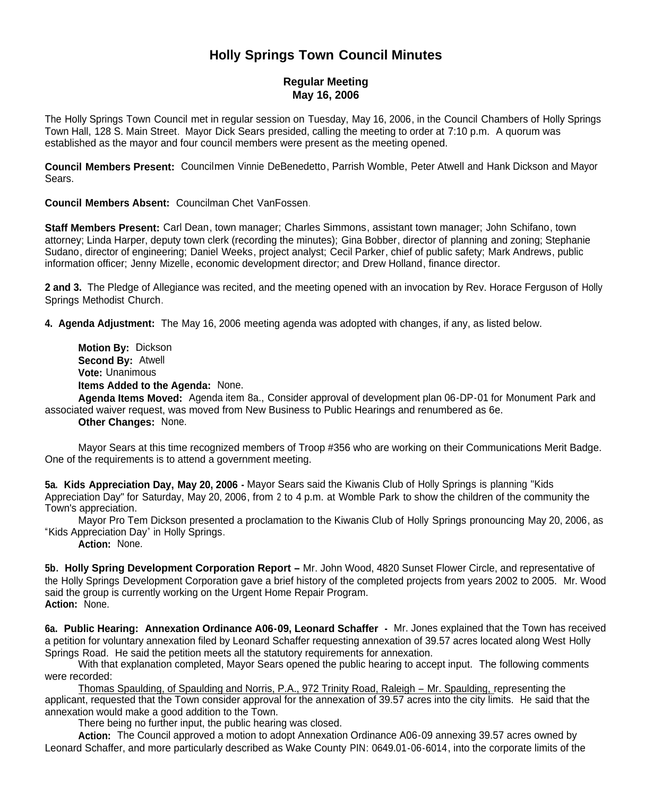# **Holly Springs Town Council Minutes**

### **Regular Meeting May 16, 2006**

The Holly Springs Town Council met in regular session on Tuesday, May 16, 2006, in the Council Chambers of Holly Springs Town Hall, 128 S. Main Street. Mayor Dick Sears presided, calling the meeting to order at 7:10 p.m. A quorum was established as the mayor and four council members were present as the meeting opened.

**Council Members Present:** Councilmen Vinnie DeBenedetto, Parrish Womble, Peter Atwell and Hank Dickson and Mayor Sears.

**Council Members Absent:** Councilman Chet VanFossen.

**Staff Members Present:** Carl Dean, town manager; Charles Simmons, assistant town manager; John Schifano, town attorney; Linda Harper, deputy town clerk (recording the minutes); Gina Bobber, director of planning and zoning; Stephanie Sudano, director of engineering; Daniel Weeks, project analyst; Cecil Parker, chief of public safety; Mark Andrews, public information officer; Jenny Mizelle, economic development director; and Drew Holland, finance director.

**2 and 3.** The Pledge of Allegiance was recited, and the meeting opened with an invocation by Rev. Horace Ferguson of Holly Springs Methodist Church.

**4. Agenda Adjustment:** The May 16, 2006 meeting agenda was adopted with changes, if any, as listed below.

**Motion By:** Dickson **Second By:** Atwell **Vote:** Unanimous **Items Added to the Agenda:** None.

**Agenda Items Moved:** Agenda item 8a., Consider approval of development plan 06-DP-01 for Monument Park and associated waiver request, was moved from New Business to Public Hearings and renumbered as 6e.

**Other Changes:** None.

Mayor Sears at this time recognized members of Troop #356 who are working on their Communications Merit Badge. One of the requirements is to attend a government meeting.

**5a. Kids Appreciation Day, May 20, 2006 -** Mayor Sears said the Kiwanis Club of Holly Springs is planning "Kids Appreciation Day" for Saturday, May 20, 2006, from 2 to 4 p.m. at Womble Park to show the children of the community the Town's appreciation.

Mayor Pro Tem Dickson presented a proclamation to the Kiwanis Club of Holly Springs pronouncing May 20, 2006, as "Kids Appreciation Day" in Holly Springs.

**Action:** None.

**5b. Holly Spring Development Corporation Report –** Mr. John Wood, 4820 Sunset Flower Circle, and representative of the Holly Springs Development Corporation gave a brief history of the completed projects from years 2002 to 2005. Mr. Wood said the group is currently working on the Urgent Home Repair Program. **Action:** None.

**6a. Public Hearing: Annexation Ordinance A06-09, Leonard Schaffer -** Mr. Jones explained that the Town has received a petition for voluntary annexation filed by Leonard Schaffer requesting annexation of 39.57 acres located along West Holly Springs Road. He said the petition meets all the statutory requirements for annexation.

With that explanation completed, Mayor Sears opened the public hearing to accept input. The following comments were recorded:

Thomas Spaulding, of Spaulding and Norris, P.A., 972 Trinity Road, Raleigh – Mr. Spaulding, representing the applicant, requested that the Town consider approval for the annexation of 39.57 acres into the city limits. He said that the annexation would make a good addition to the Town.

There being no further input, the public hearing was closed.

**Action:** The Council approved a motion to adopt Annexation Ordinance A06-09 annexing 39.57 acres owned by Leonard Schaffer, and more particularly described as Wake County PIN: 0649.01-06-6014, into the corporate limits of the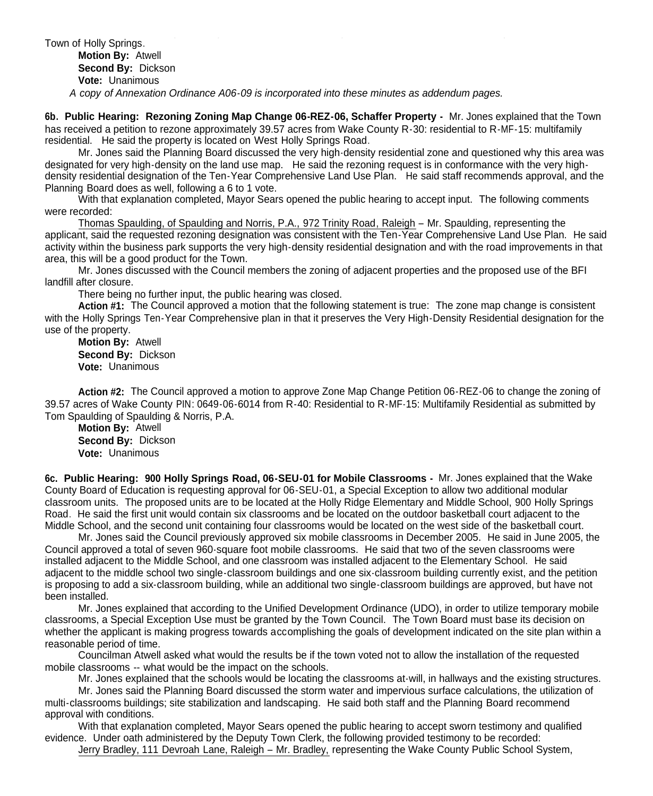Town of Holly Springs.

#### **Motion By:** Atwell

**Second By:** Dickson

**Vote:** Unanimous

*A copy of Annexation Ordinance A06-09 is incorporated into these minutes as addendum pages.*

**6b. Public Hearing: Rezoning Zoning Map Change 06-REZ-06, Schaffer Property -** Mr. Jones explained that the Town has received a petition to rezone approximately 39.57 acres from Wake County R-30: residential to R-MF-15: multifamily residential. He said the property is located on West Holly Springs Road.

Mr. Jones said the Planning Board discussed the very high-density residential zone and questioned why this area was designated for very high-density on the land use map. He said the rezoning request is in conformance with the very highdensity residential designation of the Ten-Year Comprehensive Land Use Plan. He said staff recommends approval, and the Planning Board does as well, following a 6 to 1 vote.

With that explanation completed, Mayor Sears opened the public hearing to accept input. The following comments were recorded:

Thomas Spaulding, of Spaulding and Norris, P.A., 972 Trinity Road, Raleigh – Mr. Spaulding, representing the applicant, said the requested rezoning designation was consistent with the Ten-Year Comprehensive Land Use Plan. He said activity within the business park supports the very high-density residential designation and with the road improvements in that area, this will be a good product for the Town.

Mr. Jones discussed with the Council members the zoning of adjacent properties and the proposed use of the BFI landfill after closure.

There being no further input, the public hearing was closed.

**Action #1:** The Council approved a motion that the following statement is true: The zone map change is consistent with the Holly Springs Ten-Year Comprehensive plan in that it preserves the Very High-Density Residential designation for the use of the property.

**Motion By:** Atwell **Second By:** Dickson **Vote:** Unanimous

**Action #2:** The Council approved a motion to approve Zone Map Change Petition 06-REZ-06 to change the zoning of 39.57 acres of Wake County PIN: 0649-06-6014 from R-40: Residential to R-MF-15: Multifamily Residential as submitted by Tom Spaulding of Spaulding & Norris, P.A.

**Motion By:** Atwell **Second By:** Dickson **Vote:** Unanimous

**6c. Public Hearing: 900 Holly Springs Road, 06-SEU-01 for Mobile Classrooms -** Mr. Jones explained that the Wake County Board of Education is requesting approval for 06-SEU-01, a Special Exception to allow two additional modular classroom units. The proposed units are to be located at the Holly Ridge Elementary and Middle School, 900 Holly Springs Road. He said the first unit would contain six classrooms and be located on the outdoor basketball court adjacent to the Middle School, and the second unit containing four classrooms would be located on the west side of the basketball court.

Mr. Jones said the Council previously approved six mobile classrooms in December 2005. He said in June 2005, the Council approved a total of seven 960-square foot mobile classrooms. He said that two of the seven classrooms were installed adjacent to the Middle School, and one classroom was installed adjacent to the Elementary School. He said adjacent to the middle school two single-classroom buildings and one six-classroom building currently exist, and the petition is proposing to add a six-classroom building, while an additional two single-classroom buildings are approved, but have not been installed.

Mr. Jones explained that according to the Unified Development Ordinance (UDO), in order to utilize temporary mobile classrooms, a Special Exception Use must be granted by the Town Council. The Town Board must base its decision on whether the applicant is making progress towards accomplishing the goals of development indicated on the site plan within a reasonable period of time.

Councilman Atwell asked what would the results be if the town voted not to allow the installation of the requested mobile classrooms -- what would be the impact on the schools.

Mr. Jones explained that the schools would be locating the classrooms at-will, in hallways and the existing structures.

Mr. Jones said the Planning Board discussed the storm water and impervious surface calculations, the utilization of multi-classrooms buildings; site stabilization and landscaping. He said both staff and the Planning Board recommend approval with conditions.

With that explanation completed, Mayor Sears opened the public hearing to accept sworn testimony and qualified evidence. Under oath administered by the Deputy Town Clerk, the following provided testimony to be recorded:

Jerry Bradley, 111 Devroah Lane, Raleigh – Mr. Bradley, representing the Wake County Public School System,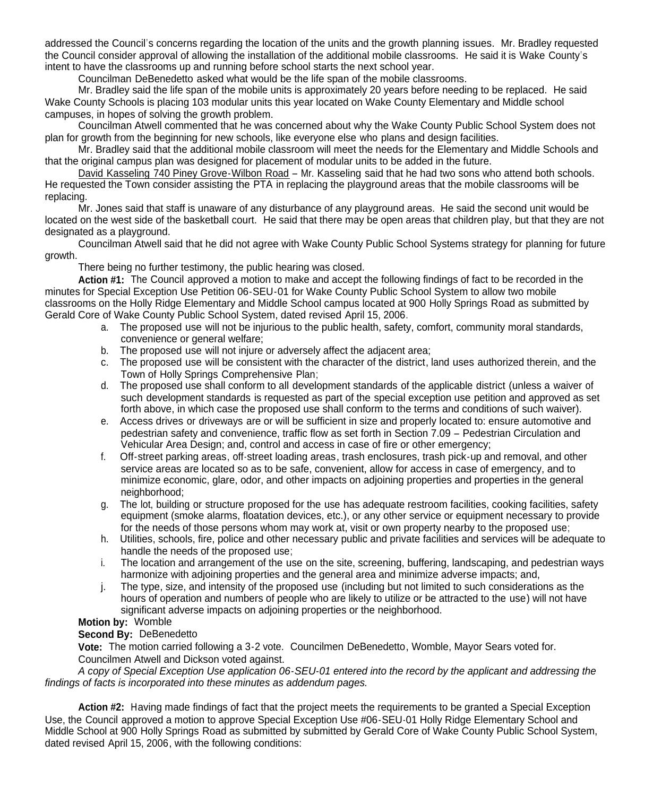addressed the Council's concerns regarding the location of the units and the growth planning issues. Mr. Bradley requested the Council consider approval of allowing the installation of the additional mobile classrooms. He said it is Wake County's intent to have the classrooms up and running before school starts the next school year.

Councilman DeBenedetto asked what would be the life span of the mobile classrooms.

Mr. Bradley said the life span of the mobile units is approximately 20 years before needing to be replaced. He said Wake County Schools is placing 103 modular units this year located on Wake County Elementary and Middle school campuses, in hopes of solving the growth problem.

Councilman Atwell commented that he was concerned about why the Wake County Public School System does not plan for growth from the beginning for new schools, like everyone else who plans and design facilities.

Mr. Bradley said that the additional mobile classroom will meet the needs for the Elementary and Middle Schools and that the original campus plan was designed for placement of modular units to be added in the future.

David Kasseling 740 Piney Grove-Wilbon Road – Mr. Kasseling said that he had two sons who attend both schools. He requested the Town consider assisting the PTA in replacing the playground areas that the mobile classrooms will be replacing.

Mr. Jones said that staff is unaware of any disturbance of any playground areas. He said the second unit would be located on the west side of the basketball court. He said that there may be open areas that children play, but that they are not designated as a playground.

Councilman Atwell said that he did not agree with Wake County Public School Systems strategy for planning for future growth.

There being no further testimony, the public hearing was closed.

**Action #1:** The Council approved a motion to make and accept the following findings of fact to be recorded in the minutes for Special Exception Use Petition 06-SEU-01 for Wake County Public School System to allow two mobile classrooms on the Holly Ridge Elementary and Middle School campus located at 900 Holly Springs Road as submitted by Gerald Core of Wake County Public School System, dated revised April 15, 2006.

- a. The proposed use will not be injurious to the public health, safety, comfort, community moral standards, convenience or general welfare;
- b. The proposed use will not injure or adversely affect the adjacent area;
- c. The proposed use will be consistent with the character of the district, land uses authorized therein, and the Town of Holly Springs Comprehensive Plan;
- d. The proposed use shall conform to all development standards of the applicable district (unless a waiver of such development standards is requested as part of the special exception use petition and approved as set forth above, in which case the proposed use shall conform to the terms and conditions of such waiver).
- e. Access drives or driveways are or will be sufficient in size and properly located to: ensure automotive and pedestrian safety and convenience, traffic flow as set forth in Section 7.09 – Pedestrian Circulation and Vehicular Area Design; and, control and access in case of fire or other emergency;
- f. Off-street parking areas, off-street loading areas, trash enclosures, trash pick-up and removal, and other service areas are located so as to be safe, convenient, allow for access in case of emergency, and to minimize economic, glare, odor, and other impacts on adjoining properties and properties in the general neighborhood:
- g. The lot, building or structure proposed for the use has adequate restroom facilities, cooking facilities, safety equipment (smoke alarms, floatation devices, etc.), or any other service or equipment necessary to provide for the needs of those persons whom may work at, visit or own property nearby to the proposed use;
- h. Utilities, schools, fire, police and other necessary public and private facilities and services will be adequate to handle the needs of the proposed use;
- i. The location and arrangement of the use on the site, screening, buffering, landscaping, and pedestrian ways harmonize with adjoining properties and the general area and minimize adverse impacts; and,
- j. The type, size, and intensity of the proposed use (including but not limited to such considerations as the hours of operation and numbers of people who are likely to utilize or be attracted to the use) will not have significant adverse impacts on adjoining properties or the neighborhood.

#### **Motion by:** Womble

#### **Second By:** DeBenedetto

**Vote:** The motion carried following a 3-2 vote. Councilmen DeBenedetto, Womble, Mayor Sears voted for. Councilmen Atwell and Dickson voted against.

*A copy of Special Exception Use application 06-SEU-01 entered into the record by the applicant and addressing the findings of facts is incorporated into these minutes as addendum pages.*

**Action #2:** Having made findings of fact that the project meets the requirements to be granted a Special Exception Use, the Council approved a motion to approve Special Exception Use #06-SEU-01 Holly Ridge Elementary School and Middle School at 900 Holly Springs Road as submitted by submitted by Gerald Core of Wake County Public School System, dated revised April 15, 2006, with the following conditions: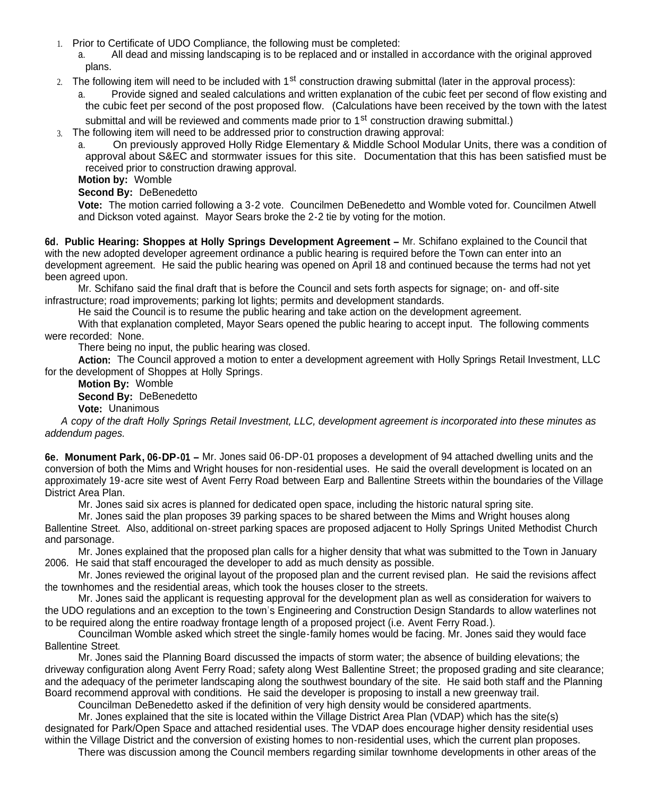- 1. Prior to Certificate of UDO Compliance, the following must be completed:
	- a. All dead and missing landscaping is to be replaced and or installed in accordance with the original approved plans.
- 2. The following item will need to be included with 1<sup>st</sup> construction drawing submittal (later in the approval process):

Provide signed and sealed calculations and written explanation of the cubic feet per second of flow existing and the cubic feet per second of the post proposed flow. (Calculations have been received by the town with the latest

submittal and will be reviewed and comments made prior to 1<sup>st</sup> construction drawing submittal.)

3. The following item will need to be addressed prior to construction drawing approval:

a. On previously approved Holly Ridge Elementary & Middle School Modular Units, there was a condition of approval about S&EC and stormwater issues for this site. Documentation that this has been satisfied must be received prior to construction drawing approval.

**Motion by:** Womble

## **Second By:** DeBenedetto

**Vote:** The motion carried following a 3-2 vote. Councilmen DeBenedetto and Womble voted for. Councilmen Atwell and Dickson voted against. Mayor Sears broke the 2-2 tie by voting for the motion.

**6d. Public Hearing: Shoppes at Holly Springs Development Agreement –** Mr. Schifano explained to the Council that with the new adopted developer agreement ordinance a public hearing is required before the Town can enter into an development agreement. He said the public hearing was opened on April 18 and continued because the terms had not yet been agreed upon.

Mr. Schifano said the final draft that is before the Council and sets forth aspects for signage; on- and off-site infrastructure; road improvements; parking lot lights; permits and development standards.

He said the Council is to resume the public hearing and take action on the development agreement.

With that explanation completed, Mayor Sears opened the public hearing to accept input. The following comments were recorded: None.

There being no input, the public hearing was closed.

**Action:** The Council approved a motion to enter a development agreement with Holly Springs Retail Investment, LLC for the development of Shoppes at Holly Springs.

**Motion By:** Womble **Second By:** DeBenedetto **Vote:** Unanimous

*A copy of the draft Holly Springs Retail Investment, LLC, development agreement is incorporated into these minutes as addendum pages.*

**6e. Monument Park, 06-DP-01 –** Mr. Jones said 06-DP-01 proposes a development of 94 attached dwelling units and the conversion of both the Mims and Wright houses for non-residential uses. He said the overall development is located on an approximately 19-acre site west of Avent Ferry Road between Earp and Ballentine Streets within the boundaries of the Village District Area Plan.

Mr. Jones said six acres is planned for dedicated open space, including the historic natural spring site.

Mr. Jones said the plan proposes 39 parking spaces to be shared between the Mims and Wright houses along Ballentine Street. Also, additional on-street parking spaces are proposed adjacent to Holly Springs United Methodist Church and parsonage.

Mr. Jones explained that the proposed plan calls for a higher density that what was submitted to the Town in January 2006. He said that staff encouraged the developer to add as much density as possible.

Mr. Jones reviewed the original layout of the proposed plan and the current revised plan. He said the revisions affect the townhomes and the residential areas, which took the houses closer to the streets.

Mr. Jones said the applicant is requesting approval for the development plan as well as consideration for waivers to the UDO regulations and an exception to the town's Engineering and Construction Design Standards to allow waterlines not to be required along the entire roadway frontage length of a proposed project (i.e. Avent Ferry Road.).

Councilman Womble asked which street the single-family homes would be facing. Mr. Jones said they would face Ballentine Street.

Mr. Jones said the Planning Board discussed the impacts of storm water; the absence of building elevations; the driveway configuration along Avent Ferry Road; safety along West Ballentine Street; the proposed grading and site clearance; and the adequacy of the perimeter landscaping along the southwest boundary of the site. He said both staff and the Planning Board recommend approval with conditions. He said the developer is proposing to install a new greenway trail.

Councilman DeBenedetto asked if the definition of very high density would be considered apartments.

Mr. Jones explained that the site is located within the Village District Area Plan (VDAP) which has the site(s) designated for Park/Open Space and attached residential uses. The VDAP does encourage higher density residential uses within the Village District and the conversion of existing homes to non-residential uses, which the current plan proposes.

There was discussion among the Council members regarding similar townhome developments in other areas of the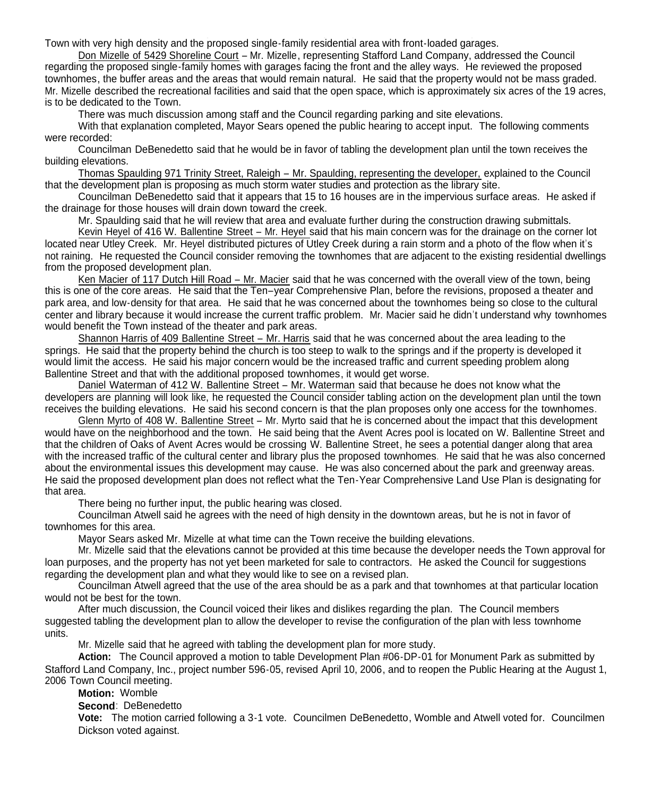There was discussion among the Council members regarding similar townhome developments in other areas of the Town with very high density and the proposed single-family residential area with front-loaded garages.

Don Mizelle of 5429 Shoreline Court – Mr. Mizelle, representing Stafford Land Company, addressed the Council regarding the proposed single-family homes with garages facing the front and the alley ways. He reviewed the proposed townhomes, the buffer areas and the areas that would remain natural. He said that the property would not be mass graded. Mr. Mizelle described the recreational facilities and said that the open space, which is approximately six acres of the 19 acres, is to be dedicated to the Town.

There was much discussion among staff and the Council regarding parking and site elevations.

With that explanation completed, Mayor Sears opened the public hearing to accept input. The following comments were recorded:

Councilman DeBenedetto said that he would be in favor of tabling the development plan until the town receives the building elevations.

Thomas Spaulding 971 Trinity Street, Raleigh – Mr. Spaulding, representing the developer, explained to the Council that the development plan is proposing as much storm water studies and protection as the library site.

Councilman DeBenedetto said that it appears that 15 to 16 houses are in the impervious surface areas. He asked if the drainage for those houses will drain down toward the creek.

Mr. Spaulding said that he will review that area and evaluate further during the construction drawing submittals.

Kevin Heyel of 416 W. Ballentine Street – Mr. Heyel said that his main concern was for the drainage on the corner lot located near Utley Creek. Mr. Heyel distributed pictures of Utley Creek during a rain storm and a photo of the flow when it's not raining. He requested the Council consider removing the townhomes that are adjacent to the existing residential dwellings from the proposed development plan.

Ken Macier of 117 Dutch Hill Road – Mr. Macier said that he was concerned with the overall view of the town, being this is one of the core areas. He said that the Ten–year Comprehensive Plan, before the revisions, proposed a theater and park area, and low-density for that area. He said that he was concerned about the townhomes being so close to the cultural center and library because it would increase the current traffic problem. Mr. Macier said he didn't understand why townhomes would benefit the Town instead of the theater and park areas.

Shannon Harris of 409 Ballentine Street – Mr. Harris said that he was concerned about the area leading to the springs. He said that the property behind the church is too steep to walk to the springs and if the property is developed it would limit the access. He said his major concern would be the increased traffic and current speeding problem along Ballentine Street and that with the additional proposed townhomes, it would get worse.

Daniel Waterman of 412 W. Ballentine Street – Mr. Waterman said that because he does not know what the developers are planning will look like, he requested the Council consider tabling action on the development plan until the town receives the building elevations. He said his second concern is that the plan proposes only one access for the townhomes.

Glenn Myrto of 408 W. Ballentine Street – Mr. Myrto said that he is concerned about the impact that this development would have on the neighborhood and the town. He said being that the Avent Acres pool is located on W. Ballentine Street and that the children of Oaks of Avent Acres would be crossing W. Ballentine Street, he sees a potential danger along that area with the increased traffic of the cultural center and library plus the proposed townhomes. He said that he was also concerned about the environmental issues this development may cause. He was also concerned about the park and greenway areas. He said the proposed development plan does not reflect what the Ten-Year Comprehensive Land Use Plan is designating for that area.

There being no further input, the public hearing was closed.

Councilman Atwell said he agrees with the need of high density in the downtown areas, but he is not in favor of townhomes for this area.

Mayor Sears asked Mr. Mizelle at what time can the Town receive the building elevations.

Mr. Mizelle said that the elevations cannot be provided at this time because the developer needs the Town approval for loan purposes, and the property has not yet been marketed for sale to contractors. He asked the Council for suggestions regarding the development plan and what they would like to see on a revised plan.

Councilman Atwell agreed that the use of the area should be as a park and that townhomes at that particular location would not be best for the town.

After much discussion, the Council voiced their likes and dislikes regarding the plan. The Council members suggested tabling the development plan to allow the developer to revise the configuration of the plan with less townhome units.

Mr. Mizelle said that he agreed with tabling the development plan for more study.

**Action:** The Council approved a motion to table Development Plan #06-DP-01 for Monument Park as submitted by Stafford Land Company, Inc., project number 596-05, revised April 10, 2006, and to reopen the Public Hearing at the August 1, 2006 Town Council meeting.

**Motion:** Womble

## **Second**: DeBenedetto

**Vote:** The motion carried following a 3-1 vote. Councilmen DeBenedetto, Womble and Atwell voted for. Councilmen Dickson voted against.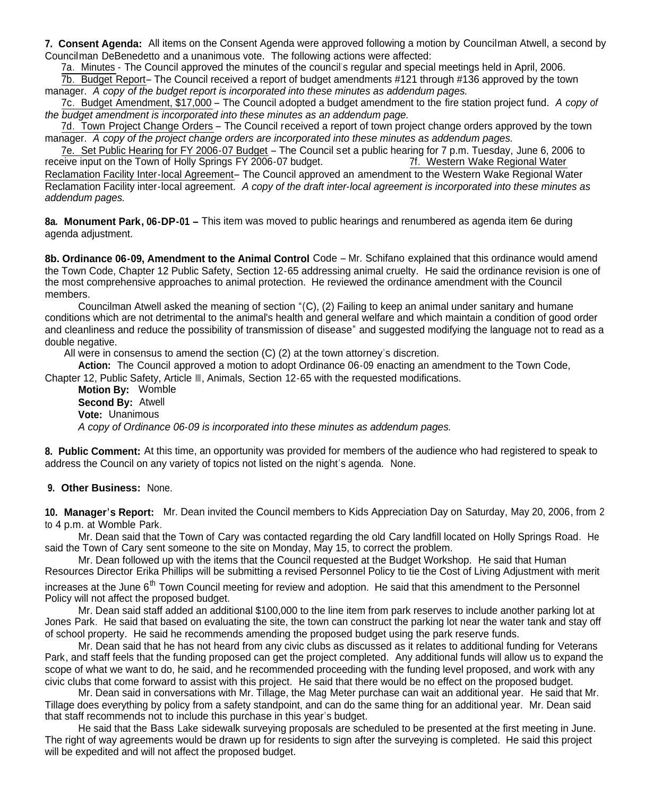**7. Consent Agenda:** All items on the Consent Agenda were approved following a motion by Councilman Atwell, a second by Councilman DeBenedetto and a unanimous vote. The following actions were affected:

7a. Minutes - The Council approved the minutes of the council's regular and special meetings held in April, 2006.

7b. Budget Report– The Council received a report of budget amendments #121 through #136 approved by the town manager. *A copy of the budget report is incorporated into these minutes as addendum pages.*

7c. Budget Amendment, \$17,000 – The Council adopted a budget amendment to the fire station project fund. *A copy of the budget amendment is incorporated into these minutes as an addendum page.*

7d. Town Project Change Orders – The Council received a report of town project change orders approved by the town manager. *A copy of the project change orders are incorporated into these minutes as addendum pages.*

7e. Set Public Hearing for FY 2006-07 Budget – The Council set a public hearing for 7 p.m. Tuesday, June 6, 2006 to<br>Prive input on the Town of Holly Springs FY 2006-07 budget. The Council of Mustern Wake Regional Water receive input on the Town of Holly Springs FY 2006-07 budget. Reclamation Facility Inter-local Agreement– The Council approved an amendment to the Western Wake Regional Water Reclamation Facility inter-local agreement. *A copy of the draft inter-local agreement is incorporated into these minutes as addendum pages.*

**8a. Monument Park, 06-DP-01 –** This item was moved to public hearings and renumbered as agenda item 6e during agenda adjustment.

**8b. Ordinance 06-09, Amendment to the Animal Control** Code – Mr. Schifano explained that this ordinance would amend the Town Code, Chapter 12 Public Safety, Section 12-65 addressing animal cruelty. He said the ordinance revision is one of the most comprehensive approaches to animal protection. He reviewed the ordinance amendment with the Council members.

Councilman Atwell asked the meaning of section "(C), (2) Failing to keep an animal under sanitary and humane conditions which are not detrimental to the animal's health and general welfare and which maintain a condition of good order and cleanliness and reduce the possibility of transmission of disease" and suggested modifying the language not to read as a double negative.

All were in consensus to amend the section (C) (2) at the town attorney's discretion.

**Action:** The Council approved a motion to adopt Ordinance 06-09 enacting an amendment to the Town Code, Chapter 12, Public Safety, Article III, Animals, Section 12-65 with the requested modifications.

**Motion By:** Womble **Second By:** Atwell **Vote:** Unanimous *A copy of Ordinance 06-09 is incorporated into these minutes as addendum pages.*

**8. Public Comment:** At this time, an opportunity was provided for members of the audience who had registered to speak to address the Council on any variety of topics not listed on the night's agenda. None.

#### **9. Other Business:** None.

**10. Manager's Report:** Mr. Dean invited the Council members to Kids Appreciation Day on Saturday, May 20, 2006, from 2 to 4 p.m. at Womble Park.

Mr. Dean said that the Town of Cary was contacted regarding the old Cary landfill located on Holly Springs Road. He said the Town of Cary sent someone to the site on Monday, May 15, to correct the problem.

Mr. Dean followed up with the items that the Council requested at the Budget Workshop. He said that Human Resources Director Erika Phillips will be submitting a revised Personnel Policy to tie the Cost of Living Adjustment with merit increases at the June  $6<sup>th</sup>$  Town Council meeting for review and adoption. He said that this amendment to the Personnel

Policy will not affect the proposed budget. Mr. Dean said staff added an additional \$100,000 to the line item from park reserves to include another parking lot at

Jones Park. He said that based on evaluating the site, the town can construct the parking lot near the water tank and stay off of school property. He said he recommends amending the proposed budget using the park reserve funds.

Mr. Dean said that he has not heard from any civic clubs as discussed as it relates to additional funding for Veterans Park, and staff feels that the funding proposed can get the project completed. Any additional funds will allow us to expand the scope of what we want to do, he said, and he recommended proceeding with the funding level proposed, and work with any civic clubs that come forward to assist with this project. He said that there would be no effect on the proposed budget.

Mr. Dean said in conversations with Mr. Tillage, the Mag Meter purchase can wait an additional year. He said that Mr. Tillage does everything by policy from a safety standpoint, and can do the same thing for an additional year. Mr. Dean said that staff recommends not to include this purchase in this year's budget.

He said that the Bass Lake sidewalk surveying proposals are scheduled to be presented at the first meeting in June. The right of way agreements would be drawn up for residents to sign after the surveying is completed. He said this project will be expedited and will not affect the proposed budget.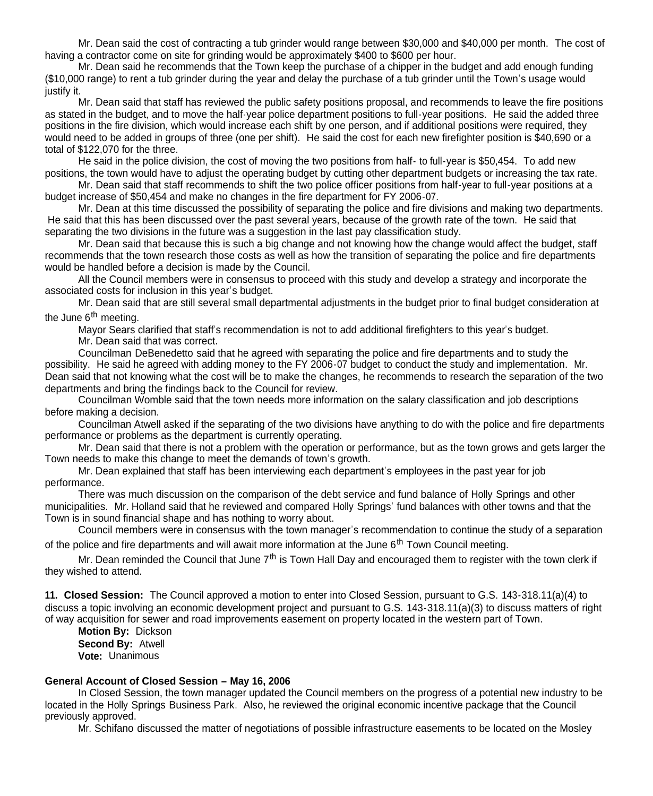Mr. Dean said the cost of contracting a tub grinder would range between \$30,000 and \$40,000 per month. The cost of having a contractor come on site for grinding would be approximately \$400 to \$600 per hour.

Mr. Dean said he recommends that the Town keep the purchase of a chipper in the budget and add enough funding (\$10,000 range) to rent a tub grinder during the year and delay the purchase of a tub grinder until the Town's usage would justify it.

Mr. Dean said that staff has reviewed the public safety positions proposal, and recommends to leave the fire positions as stated in the budget, and to move the half-year police department positions to full-year positions. He said the added three positions in the fire division, which would increase each shift by one person, and if additional positions were required, they would need to be added in groups of three (one per shift). He said the cost for each new firefighter position is \$40,690 or a total of \$122,070 for the three.

He said in the police division, the cost of moving the two positions from half- to full-year is \$50,454. To add new positions, the town would have to adjust the operating budget by cutting other department budgets or increasing the tax rate.

Mr. Dean said that staff recommends to shift the two police officer positions from half-year to full-year positions at a budget increase of \$50,454 and make no changes in the fire department for FY 2006-07.

Mr. Dean at this time discussed the possibility of separating the police and fire divisions and making two departments. He said that this has been discussed over the past several years, because of the growth rate of the town. He said that separating the two divisions in the future was a suggestion in the last pay classification study.

Mr. Dean said that because this is such a big change and not knowing how the change would affect the budget, staff recommends that the town research those costs as well as how the transition of separating the police and fire departments would be handled before a decision is made by the Council.

All the Council members were in consensus to proceed with this study and develop a strategy and incorporate the associated costs for inclusion in this year's budget.

Mr. Dean said that are still several small departmental adjustments in the budget prior to final budget consideration at the June  $6<sup>th</sup>$  meeting.

Mayor Sears clarified that staff's recommendation is not to add additional firefighters to this year's budget. Mr. Dean said that was correct.

Councilman DeBenedetto said that he agreed with separating the police and fire departments and to study the possibility. He said he agreed with adding money to the FY 2006-07 budget to conduct the study and implementation. Mr. Dean said that not knowing what the cost will be to make the changes, he recommends to research the separation of the two departments and bring the findings back to the Council for review.

Councilman Womble said that the town needs more information on the salary classification and job descriptions before making a decision.

Councilman Atwell asked if the separating of the two divisions have anything to do with the police and fire departments performance or problems as the department is currently operating.

Mr. Dean said that there is not a problem with the operation or performance, but as the town grows and gets larger the Town needs to make this change to meet the demands of town's growth.

Mr. Dean explained that staff has been interviewing each department's employees in the past year for job performance.

There was much discussion on the comparison of the debt service and fund balance of Holly Springs and other municipalities. Mr. Holland said that he reviewed and compared Holly Springs' fund balances with other towns and that the Town is in sound financial shape and has nothing to worry about.

Council members were in consensus with the town manager's recommendation to continue the study of a separation of the police and fire departments and will await more information at the June  $6<sup>th</sup>$  Town Council meeting.

Mr. Dean reminded the Council that June  $7<sup>th</sup>$  is Town Hall Day and encouraged them to register with the town clerk if they wished to attend.

**11. Closed Session:** The Council approved a motion to enter into Closed Session, pursuant to G.S. 143-318.11(a)(4) to discuss a topic involving an economic development project and pursuant to G.S. 143-318.11(a)(3) to discuss matters of right of way acquisition for sewer and road improvements easement on property located in the western part of Town.

**Motion By:** Dickson **Second By:** Atwell **Vote:** Unanimous

#### **General Account of Closed Session – May 16, 2006**

In Closed Session, the town manager updated the Council members on the progress of a potential new industry to be located in the Holly Springs Business Park. Also, he reviewed the original economic incentive package that the Council previously approved.

Mr. Schifano discussed the matter of negotiations of possible infrastructure easements to be located on the Mosley